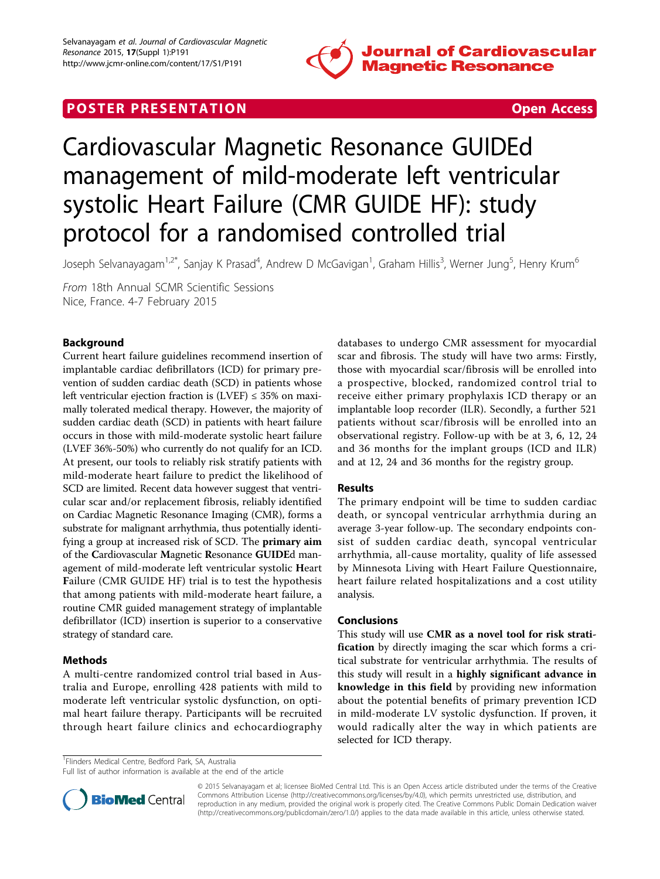

# **POSTER PRESENTATION CONSUMING THE SECOND CONSUMING THE SECOND CONSUMING THE SECOND CONSUMING THE SECOND CONSUMING THE SECOND CONSUMING THE SECOND CONSUMING THE SECOND CONSUMING THE SECOND CONSUMING THE SECOND CONSUMING**



# Cardiovascular Magnetic Resonance GUIDEd management of mild-moderate left ventricular systolic Heart Failure (CMR GUIDE HF): study protocol for a randomised controlled trial

Joseph Selvanayagam<sup>1,2\*</sup>, Sanjay K Prasad<sup>4</sup>, Andrew D McGavigan<sup>1</sup>, Graham Hillis<sup>3</sup>, Werner Jung<sup>5</sup>, Henry Krum<sup>6</sup>

From 18th Annual SCMR Scientific Sessions Nice, France. 4-7 February 2015

## Background

Current heart failure guidelines recommend insertion of implantable cardiac defibrillators (ICD) for primary prevention of sudden cardiac death (SCD) in patients whose left ventricular ejection fraction is  $(LVEF) \leq 35\%$  on maximally tolerated medical therapy. However, the majority of sudden cardiac death (SCD) in patients with heart failure occurs in those with mild-moderate systolic heart failure (LVEF 36%-50%) who currently do not qualify for an ICD. At present, our tools to reliably risk stratify patients with mild-moderate heart failure to predict the likelihood of SCD are limited. Recent data however suggest that ventricular scar and/or replacement fibrosis, reliably identified on Cardiac Magnetic Resonance Imaging (CMR), forms a substrate for malignant arrhythmia, thus potentially identifying a group at increased risk of SCD. The primary aim of the Cardiovascular Magnetic Resonance GUIDEd management of mild-moderate left ventricular systolic Heart Failure (CMR GUIDE HF) trial is to test the hypothesis that among patients with mild-moderate heart failure, a routine CMR guided management strategy of implantable defibrillator (ICD) insertion is superior to a conservative strategy of standard care.

## **Methods**

A multi-centre randomized control trial based in Australia and Europe, enrolling 428 patients with mild to moderate left ventricular systolic dysfunction, on optimal heart failure therapy. Participants will be recruited through heart failure clinics and echocardiography databases to undergo CMR assessment for myocardial scar and fibrosis. The study will have two arms: Firstly, those with myocardial scar/fibrosis will be enrolled into a prospective, blocked, randomized control trial to receive either primary prophylaxis ICD therapy or an implantable loop recorder (ILR). Secondly, a further 521 patients without scar/fibrosis will be enrolled into an observational registry. Follow-up with be at 3, 6, 12, 24 and 36 months for the implant groups (ICD and ILR) and at 12, 24 and 36 months for the registry group.

## Results

The primary endpoint will be time to sudden cardiac death, or syncopal ventricular arrhythmia during an average 3-year follow-up. The secondary endpoints consist of sudden cardiac death, syncopal ventricular arrhythmia, all-cause mortality, quality of life assessed by Minnesota Living with Heart Failure Questionnaire, heart failure related hospitalizations and a cost utility analysis.

#### Conclusions

This study will use CMR as a novel tool for risk stratification by directly imaging the scar which forms a critical substrate for ventricular arrhythmia. The results of this study will result in a highly significant advance in knowledge in this field by providing new information about the potential benefits of primary prevention ICD in mild-moderate LV systolic dysfunction. If proven, it would radically alter the way in which patients are selected for ICD therapy.

<sup>1</sup> Flinders Medical Centre, Bedford Park, SA, Australia

Full list of author information is available at the end of the article



© 2015 Selvanayagam et al; licensee BioMed Central Ltd. This is an Open Access article distributed under the terms of the Creative Commons Attribution License [\(http://creativecommons.org/licenses/by/4.0](http://creativecommons.org/licenses/by/4.0)), which permits unrestricted use, distribution, and reproduction in any medium, provided the original work is properly cited. The Creative Commons Public Domain Dedication waiver [\(http://creativecommons.org/publicdomain/zero/1.0/](http://creativecommons.org/publicdomain/zero/1.0/)) applies to the data made available in this article, unless otherwise stated.